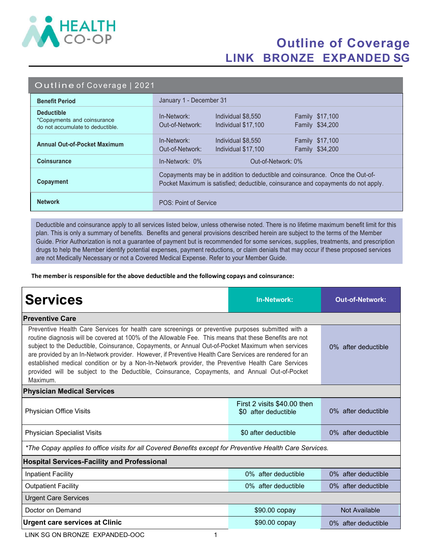

## Outline of Coverage LINK BRONZE EXPANDED **SG**

|  | Outline of Coverage   2021 |  |
|--|----------------------------|--|
|  |                            |  |

| <b>Benefit Period</b>                                                                | January 1 - December 31                                                                                                                                            |  |  |  |
|--------------------------------------------------------------------------------------|--------------------------------------------------------------------------------------------------------------------------------------------------------------------|--|--|--|
| <b>Deductible</b><br>*Copayments and coinsurance<br>do not accumulate to deductible. | Individual \$8,550<br><b>Family \$17,100</b><br>In-Network:<br>Out-of-Network:<br>Family \$34,200<br>Individual \$17,100                                           |  |  |  |
| <b>Annual Out-of-Pocket Maximum</b>                                                  | <b>Family \$17,100</b><br>In-Network:<br>Individual \$8,550<br>Family \$34,200<br>Out-of-Network:<br>Individual \$17,100                                           |  |  |  |
| <b>Coinsurance</b>                                                                   | In-Network: 0%<br>Out-of-Network: 0%                                                                                                                               |  |  |  |
| Copayment                                                                            | Copayments may be in addition to deductible and coinsurance. Once the Out-of-<br>Pocket Maximum is satisfied; deductible, coinsurance and copayments do not apply. |  |  |  |
| <b>Network</b>                                                                       | POS: Point of Service                                                                                                                                              |  |  |  |

Deductible and coinsurance apply to all services listed below, unless otherwise noted. There is no lifetime maximum benefit limit for this plan. This is only a summary of benefits. Benefits and general provisions described herein are subject to the terms of the Member Guide. Prior Authorization is not a guarantee of payment but is recommended for some services, supplies, treatments, and prescription drugs to help the Member identify potential expenses, payment reductions, or claim denials that may occur if these proposed services are not Medically Necessary or not a Covered Medical Expense. Refer to your Member Guide.

The member is responsible for the above deductible and the following copays and coinsurance:

| <b>Services</b>                                                                                                                                                                                                                                                                                                                                                                                                                                                                                                                                                                                                                                 | <b>In-Network:</b>                                  | <b>Out-of-Network:</b> |  |  |
|-------------------------------------------------------------------------------------------------------------------------------------------------------------------------------------------------------------------------------------------------------------------------------------------------------------------------------------------------------------------------------------------------------------------------------------------------------------------------------------------------------------------------------------------------------------------------------------------------------------------------------------------------|-----------------------------------------------------|------------------------|--|--|
| <b>Preventive Care</b>                                                                                                                                                                                                                                                                                                                                                                                                                                                                                                                                                                                                                          |                                                     |                        |  |  |
| Preventive Health Care Services for health care screenings or preventive purposes submitted with a<br>routine diagnosis will be covered at 100% of the Allowable Fee. This means that these Benefits are not<br>subject to the Deductible, Coinsurance, Copayments, or Annual Out-of-Pocket Maximum when services<br>are provided by an In-Network provider. However, if Preventive Health Care Services are rendered for an<br>established medical condition or by a Non-In-Network provider, the Preventive Health Care Services<br>provided will be subject to the Deductible, Coinsurance, Copayments, and Annual Out-of-Pocket<br>Maximum. | 0% after deductible                                 |                        |  |  |
| <b>Physician Medical Services</b>                                                                                                                                                                                                                                                                                                                                                                                                                                                                                                                                                                                                               |                                                     |                        |  |  |
| Physician Office Visits                                                                                                                                                                                                                                                                                                                                                                                                                                                                                                                                                                                                                         | First 2 visits \$40.00 then<br>\$0 after deductible | 0% after deductible    |  |  |
| <b>Physician Specialist Visits</b>                                                                                                                                                                                                                                                                                                                                                                                                                                                                                                                                                                                                              | \$0 after deductible                                | 0% after deductible    |  |  |
| *The Copay applies to office visits for all Covered Benefits except for Preventive Health Care Services.                                                                                                                                                                                                                                                                                                                                                                                                                                                                                                                                        |                                                     |                        |  |  |
| <b>Hospital Services-Facility and Professional</b>                                                                                                                                                                                                                                                                                                                                                                                                                                                                                                                                                                                              |                                                     |                        |  |  |
| <b>Inpatient Facility</b>                                                                                                                                                                                                                                                                                                                                                                                                                                                                                                                                                                                                                       | 0% after deductible                                 | 0% after deductible    |  |  |
| <b>Outpatient Facility</b>                                                                                                                                                                                                                                                                                                                                                                                                                                                                                                                                                                                                                      | 0% after deductible                                 | 0% after deductible    |  |  |
| <b>Urgent Care Services</b>                                                                                                                                                                                                                                                                                                                                                                                                                                                                                                                                                                                                                     |                                                     |                        |  |  |
| Doctor on Demand                                                                                                                                                                                                                                                                                                                                                                                                                                                                                                                                                                                                                                | \$90.00 copay                                       | Not Available          |  |  |
| <b>Urgent care services at Clinic</b>                                                                                                                                                                                                                                                                                                                                                                                                                                                                                                                                                                                                           | $$90.00$ copay                                      | 0% after deductible    |  |  |

LINK SG ON BRONZE EXPANDED-OOC 1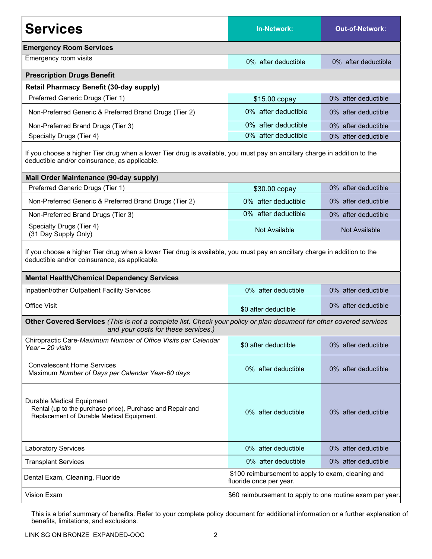| <b>Services</b>                                                                                                                                                            | In-Network:          | <b>Out-of-Network:</b> |  |  |  |
|----------------------------------------------------------------------------------------------------------------------------------------------------------------------------|----------------------|------------------------|--|--|--|
| <b>Emergency Room Services</b>                                                                                                                                             |                      |                        |  |  |  |
| Emergency room visits                                                                                                                                                      | 0% after deductible  | 0% after deductible    |  |  |  |
| <b>Prescription Drugs Benefit</b>                                                                                                                                          |                      |                        |  |  |  |
| <b>Retail Pharmacy Benefit (30-day supply)</b>                                                                                                                             |                      |                        |  |  |  |
| Preferred Generic Drugs (Tier 1)                                                                                                                                           | \$15.00 copay        | 0% after deductible    |  |  |  |
| Non-Preferred Generic & Preferred Brand Drugs (Tier 2)                                                                                                                     | 0% after deductible  | 0% after deductible    |  |  |  |
| Non-Preferred Brand Drugs (Tier 3)                                                                                                                                         | 0% after deductible  | 0% after deductible    |  |  |  |
| Specialty Drugs (Tier 4)                                                                                                                                                   | 0% after deductible  | 0% after deductible    |  |  |  |
| If you choose a higher Tier drug when a lower Tier drug is available, you must pay an ancillary charge in addition to the<br>deductible and/or coinsurance, as applicable. |                      |                        |  |  |  |
| Mail Order Maintenance (90-day supply)                                                                                                                                     |                      |                        |  |  |  |
| Preferred Generic Drugs (Tier 1)                                                                                                                                           | \$30.00 copay        | 0% after deductible    |  |  |  |
| Non-Preferred Generic & Preferred Brand Drugs (Tier 2)                                                                                                                     | 0% after deductible  | 0% after deductible    |  |  |  |
| Non-Preferred Brand Drugs (Tier 3)                                                                                                                                         | 0% after deductible  | 0% after deductible    |  |  |  |
| Specialty Drugs (Tier 4)<br>(31 Day Supply Only)                                                                                                                           | <b>Not Available</b> | <b>Not Available</b>   |  |  |  |
| If you choose a higher Tier drug when a lower Tier drug is available, you must pay an ancillary charge in addition to the<br>deductible and/or coinsurance, as applicable. |                      |                        |  |  |  |
| <b>Mental Health/Chemical Dependency Services</b><br>Inpatient/other Outpatient Facility Services                                                                          |                      |                        |  |  |  |
|                                                                                                                                                                            | 0% after deductible  | 0% after deductible    |  |  |  |
| <b>Office Visit</b>                                                                                                                                                        | \$0 after deductible | 0% after deductible    |  |  |  |
| Other Covered Services (This is not a complete list. Check your policy or plan document for other covered services<br>and your costs for these services.)                  |                      |                        |  |  |  |
| Chiropractic Care-Maximum Number of Office Visits per Calendar<br>Year - 20 visits                                                                                         | \$0 after deductible | 0% after deductible    |  |  |  |
| <b>Convalescent Home Services</b><br>Maximum Number of Days per Calendar Year-60 days                                                                                      | 0% after deductible  | 0% after deductible    |  |  |  |
| Durable Medical Equipment<br>Rental (up to the purchase price), Purchase and Repair and<br>Replacement of Durable Medical Equipment.                                       | 0% after deductible  | 0% after deductible    |  |  |  |
| <b>Laboratory Services</b>                                                                                                                                                 | 0% after deductible  | 0% after deductible    |  |  |  |
| <b>Transplant Services</b>                                                                                                                                                 | 0% after deductible  | 0% after deductible    |  |  |  |
| \$100 reimbursement to apply to exam, cleaning and<br>Dental Exam, Cleaning, Fluoride<br>fluoride once per year.                                                           |                      |                        |  |  |  |
| Vision Exam<br>\$60 reimbursement to apply to one routine exam per year.                                                                                                   |                      |                        |  |  |  |

This is a brief summary of benefits. Refer to your complete policy document for additional information or a further explanation of benefits, limitations, and exclusions.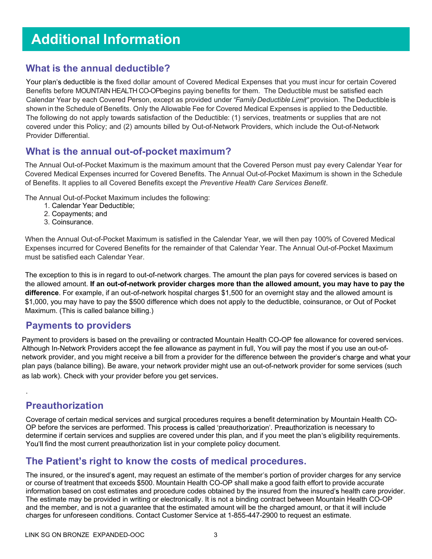# Additional Information

#### What is the annual deductible?

Your plan's deductible is the fixed dollar amount of Covered Medical Expenses that you must incur for certain Covered Benefits before MOUNTAIN HEALTH CO-OPbegins paying benefits for them. The Deductible must be satisfied each Calendar Year by each Covered Person, except as provided under "Family Deductible Limit" provision. The Deductible is shown in the Schedule of Benefits. Only the Allowable Fee for Covered Medical Expenses is applied to the Deductible. The following do not apply towards satisfaction of the Deductible: (1) services, treatments or supplies that are not covered under this Policy; and (2) amounts billed by Out-of-Network Providers, which include the Out-of-Network Provider Differential.

#### What is the annual out-of-pocket maximum?

The Annual Out-of-Pocket Maximum is the maximum amount that the Covered Person must pay every Calendar Year for Covered Medical Expenses incurred for Covered Benefits. The Annual Out-of-Pocket Maximum is shown in the Schedule of Benefits. It applies to all Covered Benefits except the Preventive Health Care Services Benefit.

The Annual Out-of-Pocket Maximum includes the following:

- 1. Calendar Year Deductible;
- 2. Copayments; and
- 3. Coinsurance.

When the Annual Out-of-Pocket Maximum is satisfied in the Calendar Year, we will then pay 100% of Covered Medical Expenses incurred for Covered Benefits for the remainder of that Calendar Year. The Annual Out-of-Pocket Maximum must be satisfied each Calendar Year.

The exception to this is in regard to out-of-network charges. The amount the plan pays for covered services is based on the allowed amount. If an out-of-network provider charges more than the allowed amount, you may have to pay the difference. For example, if an out-of-network hospital charges \$1,500 for an overnight stay and the allowed amount is \$1,000, you may have to pay the \$500 difference which does not apply to the deductible, coinsurance, or Out of Pocket Maximum. (This is called balance billing.)

#### Payments to providers

Payment to providers is based on the prevailing or contracted Mountain Health CO-OP fee allowance for covered services. Although In-Network Providers accept the fee allowance as payment in full, You will pay the most if you use an out-ofnetwork provider, and you might receive a bill from a provider for the difference between the provider's charge and what your plan pays (balance billing). Be aware, your network provider might use an out-of-network provider for some services (such as lab work). Check with your provider before you get services.

### Preauthorization

.

Coverage of certain medical services and surgical procedures requires a benefit determination by Mountain Health CO-OP before the services are performed. This process is called 'preauthorization'. Preauthorization is necessary to determine if certain services and supplies are covered under this plan, and if you meet the plan's eligibility requirements. You'll find the most current preauthorization list in your complete policy document.

### The Patient's right to know the costs of medical procedures.

The insured, or the insured's agent, may request an estimate of the member's portion of provider charges for any service or course of treatment that exceeds \$500. Mountain Health CO-OP shall make a good faith effort to provide accurate information based on cost estimates and procedure codes obtained by the insured from the insured's health care provider. The estimate may be provided in writing or electronically. It is not a binding contract between Mountain Health CO-OP and the member, and is not a guarantee that the estimated amount will be the charged amount, or that it will include charges for unforeseen conditions. Contact Customer Service at 1-855-447-2900 to request an estimate.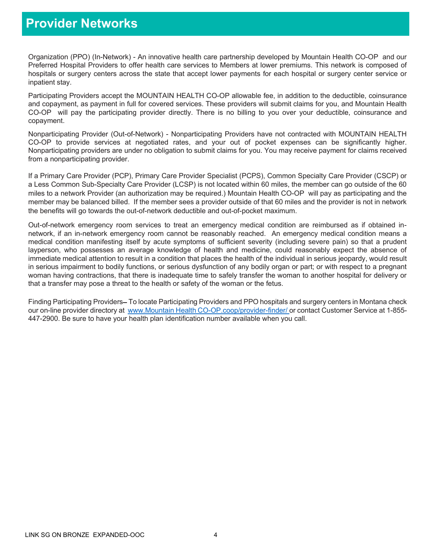### Provider Networks

Organization (PPO) (In-Network) - An innovative health care partnership developed by Mountain Health CO-OP and our Preferred Hospital Providers to offer health care services to Members at lower premiums. This network is composed of hospitals or surgery centers across the state that accept lower payments for each hospital or surgery center service or inpatient stay.

Participating Providers accept the MOUNTAIN HEALTH CO-OP allowable fee, in addition to the deductible, coinsurance and copayment, as payment in full for covered services. These providers will submit claims for you, and Mountain Health CO-OP will pay the participating provider directly. There is no billing to you over your deductible, coinsurance and copayment.

Nonparticipating Provider (Out-of-Network) - Nonparticipating Providers have not contracted with MOUNTAIN HEALTH CO-OP to provide services at negotiated rates, and your out of pocket expenses can be significantly higher. Nonparticipating providers are under no obligation to submit claims for you. You may receive payment for claims received from a nonparticipating provider.

If a Primary Care Provider (PCP), Primary Care Provider Specialist (PCPS), Common Specialty Care Provider (CSCP) or a Less Common Sub-Specialty Care Provider (LCSP) is not located within 60 miles, the member can go outside of the 60 miles to a network Provider (an authorization may be required.) Mountain Health CO-OP will pay as participating and the member may be balanced billed. If the member sees a provider outside of that 60 miles and the provider is not in network the benefits will go towards the out-of-network deductible and out-of-pocket maximum.

Out-of-network emergency room services to treat an emergency medical condition are reimbursed as if obtained innetwork, if an in-network emergency room cannot be reasonably reached. An emergency medical condition means a medical condition manifesting itself by acute symptoms of sufficient severity (including severe pain) so that a prudent layperson, who possesses an average knowledge of health and medicine, could reasonably expect the absence of immediate medical attention to result in a condition that places the health of the individual in serious jeopardy, would result in serious impairment to bodily functions, or serious dysfunction of any bodily organ or part; or with respect to a pregnant woman having contractions, that there is inadequate time to safely transfer the woman to another hospital for delivery or that a transfer may pose a threat to the health or safety of the woman or the fetus.

Finding Participating Providers–To locate Participating Providers and PPO hospitals and surgery centers in Montana check our on-line provider directory at www.Mountain Health CO-OP.coop/provider-finder/ or contact Customer Service at 1-855-447-2900. Be sure to have your health plan identification number available when you call.